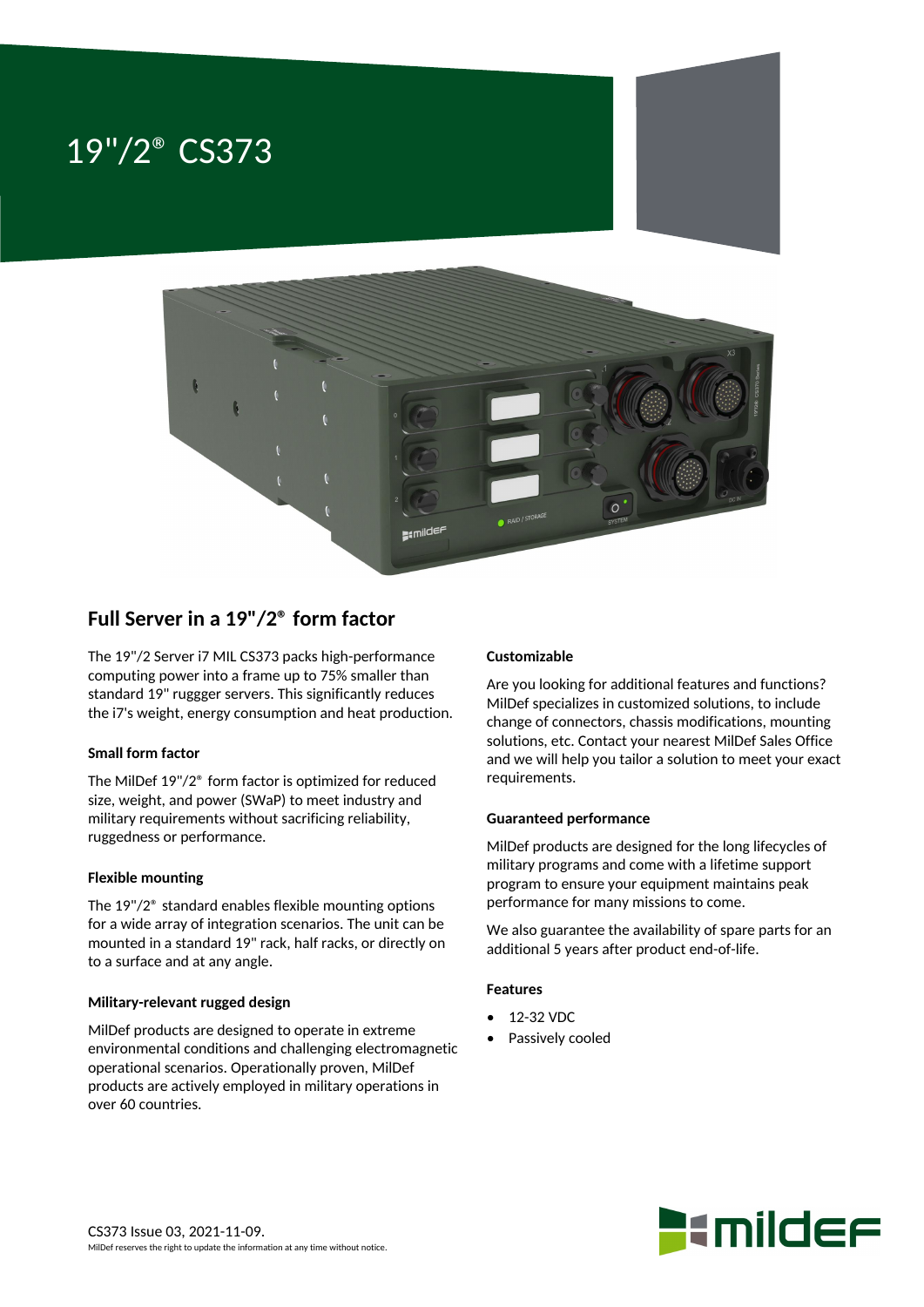# 19"/2® CS373



## **Full Server in a 19"/2® form factor**

The 19"/2 Server i7 MIL CS373 packs high-performance computing power into a frame up to 75% smaller than standard 19" ruggger servers. This significantly reduces the i7's weight, energy consumption and heat production.

#### **Small form factor**

The MilDef 19"/2® form factor is optimized for reduced size, weight, and power (SWaP) to meet industry and military requirements without sacrificing reliability, ruggedness or performance.

#### **Flexible mounting**

The 19"/2® standard enables flexible mounting options for a wide array of integration scenarios. The unit can be mounted in a standard 19" rack, half racks, or directly on to a surface and at any angle.

#### **Military-relevant rugged design**

MilDef products are designed to operate in extreme environmental conditions and challenging electromagnetic operational scenarios. Operationally proven, MilDef products are actively employed in military operations in over 60 countries.

#### **Customizable**

Are you looking for additional features and functions? MilDef specializes in customized solutions, to include change of connectors, chassis modifications, mounting solutions, etc. Contact your nearest MilDef Sales Office and we will help you tailor a solution to meet your exact requirements.

#### **Guaranteed performance**

MilDef products are designed for the long lifecycles of military programs and come with a lifetime support program to ensure your equipment maintains peak performance for many missions to come.

We also guarantee the availability of spare parts for an additional 5 years after product end-of-life.

#### **Features**

- 12-32 VDC
- Passively cooled

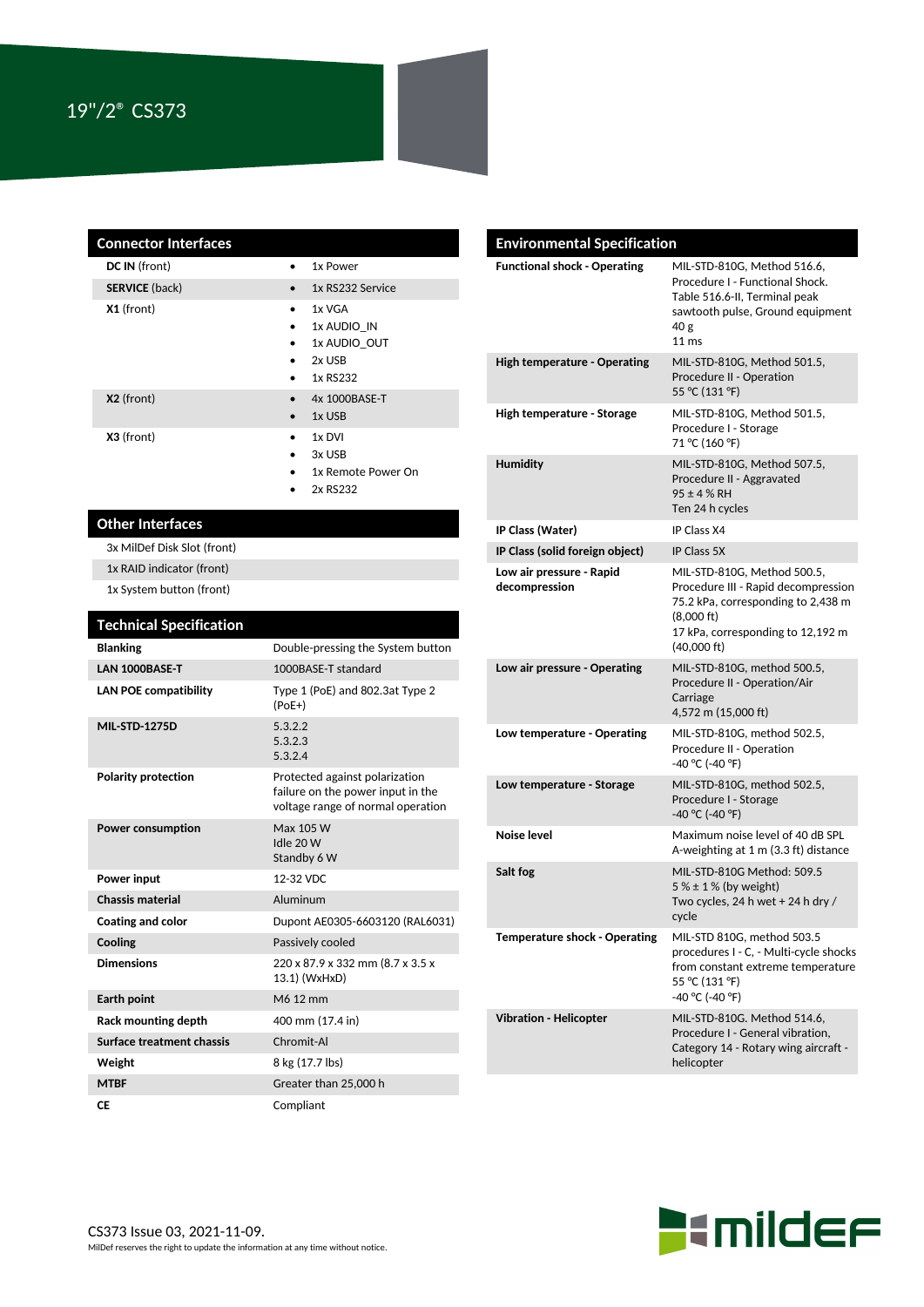| <b>Connector Interfaces</b> |                                                                  |
|-----------------------------|------------------------------------------------------------------|
| DC IN (front)               | 1x Power                                                         |
| <b>SERVICE</b> (back)       | 1x RS232 Service                                                 |
| $X1$ (front)                | 1x VGA<br>1x AUDIO IN<br>1x AUDIO OUT<br>٠<br>2x USB<br>1x RS232 |
| X2 (front)                  | 4x 1000BASE-T<br>$\bullet$<br>1x USB<br>$\bullet$                |
| X3 (front)                  | 1x DVI<br>٠<br>3x USB<br>1x Remote Power On<br>2x RS232          |
|                             |                                                                  |

### **Other Interfaces**

3x MilDef Disk Slot (front)

1x RAID indicator (front)

1x System button (front)

| <b>Technical Specification</b> |                                                                                                          |
|--------------------------------|----------------------------------------------------------------------------------------------------------|
| <b>Blanking</b>                | Double-pressing the System button                                                                        |
| LAN 1000BASE-T                 | 1000BASE-T standard                                                                                      |
| <b>LAN POE compatibility</b>   | Type 1 (PoE) and 802.3at Type 2<br>$(PoE+)$                                                              |
| <b>MIL-STD-1275D</b>           | 5.3.2.2<br>5.3.2.3<br>5.3.2.4                                                                            |
| <b>Polarity protection</b>     | Protected against polarization<br>failure on the power input in the<br>voltage range of normal operation |
| <b>Power consumption</b>       | Max 105 W<br>Idle $20W$<br>Standby 6 W                                                                   |
| Power input                    | 12-32 VDC                                                                                                |
| <b>Chassis material</b>        | Aluminum                                                                                                 |
| <b>Coating and color</b>       | Dupont AE0305-6603120 (RAL6031)                                                                          |
| Cooling                        | Passively cooled                                                                                         |
| <b>Dimensions</b>              | 220 x 87.9 x 332 mm (8.7 x 3.5 x<br>13.1) (WxHxD)                                                        |
| <b>Earth point</b>             | M6 12 mm                                                                                                 |
| <b>Rack mounting depth</b>     | 400 mm (17.4 in)                                                                                         |
| Surface treatment chassis      | Chromit-Al                                                                                               |
| Weight                         | 8 kg (17.7 lbs)                                                                                          |
| <b>MTBF</b>                    | Greater than 25,000 h                                                                                    |
| СE                             | Compliant                                                                                                |

| <b>Environmental Specification</b>        |                                                                                                                                                                                      |  |
|-------------------------------------------|--------------------------------------------------------------------------------------------------------------------------------------------------------------------------------------|--|
| <b>Functional shock - Operating</b>       | MIL-STD-810G, Method 516.6,<br>Procedure I - Functional Shock.<br>Table 516.6-II, Terminal peak<br>sawtooth pulse, Ground equipment<br>40 g<br>11 <sub>ms</sub>                      |  |
| High temperature - Operating              | MIL-STD-810G, Method 501.5,<br>Procedure II - Operation<br>55 °C (131 °F)                                                                                                            |  |
| High temperature - Storage                | MIL-STD-810G, Method 501.5,<br>Procedure I - Storage<br>71 °C (160 °F)                                                                                                               |  |
| <b>Humidity</b>                           | MIL-STD-810G, Method 507.5,<br>Procedure II - Aggravated<br>$95 \pm 4$ % RH<br>Ten 24 h cycles                                                                                       |  |
| IP Class (Water)                          | IP Class X4                                                                                                                                                                          |  |
| IP Class (solid foreign object)           | <b>IP Class 5X</b>                                                                                                                                                                   |  |
| Low air pressure - Rapid<br>decompression | MIL-STD-810G, Method 500.5,<br>Procedure III - Rapid decompression<br>75.2 kPa, corresponding to 2,438 m<br>(8,000 ft)<br>17 kPa, corresponding to 12,192 m<br>$(40,000 \text{ ft})$ |  |
| Low air pressure - Operating              | MIL-STD-810G, method 500.5,<br>Procedure II - Operation/Air<br>Carriage<br>4,572 m (15,000 ft)                                                                                       |  |
| Low temperature - Operating               | MIL-STD-810G, method 502.5,<br>Procedure II - Operation<br>-40 °C (-40 °F)                                                                                                           |  |
| Low temperature - Storage                 | MIL-STD-810G, method 502.5,<br>Procedure I - Storage<br>-40 °C (-40 °F)                                                                                                              |  |
| Noise level                               | Maximum noise level of 40 dB SPL<br>A-weighting at 1 m (3.3 ft) distance                                                                                                             |  |
| Salt fog                                  | MIL-STD-810G Method: 509.5<br>$5\% \pm 1\%$ (by weight)<br>Two cycles, 24 h wet + 24 h dry /<br>cycle                                                                                |  |
| <b>Temperature shock - Operating</b>      | MIL-STD 810G, method 503.5<br>procedures I - C, - Multi-cycle shocks<br>from constant extreme temperature<br>55 °C (131 °F)<br>-40 °C (-40 °F)                                       |  |
| <b>Vibration - Helicopter</b>             | MIL-STD-810G. Method 514.6,<br>Procedure I - General vibration,<br>Category 14 - Rotary wing aircraft -                                                                              |  |



helicopter